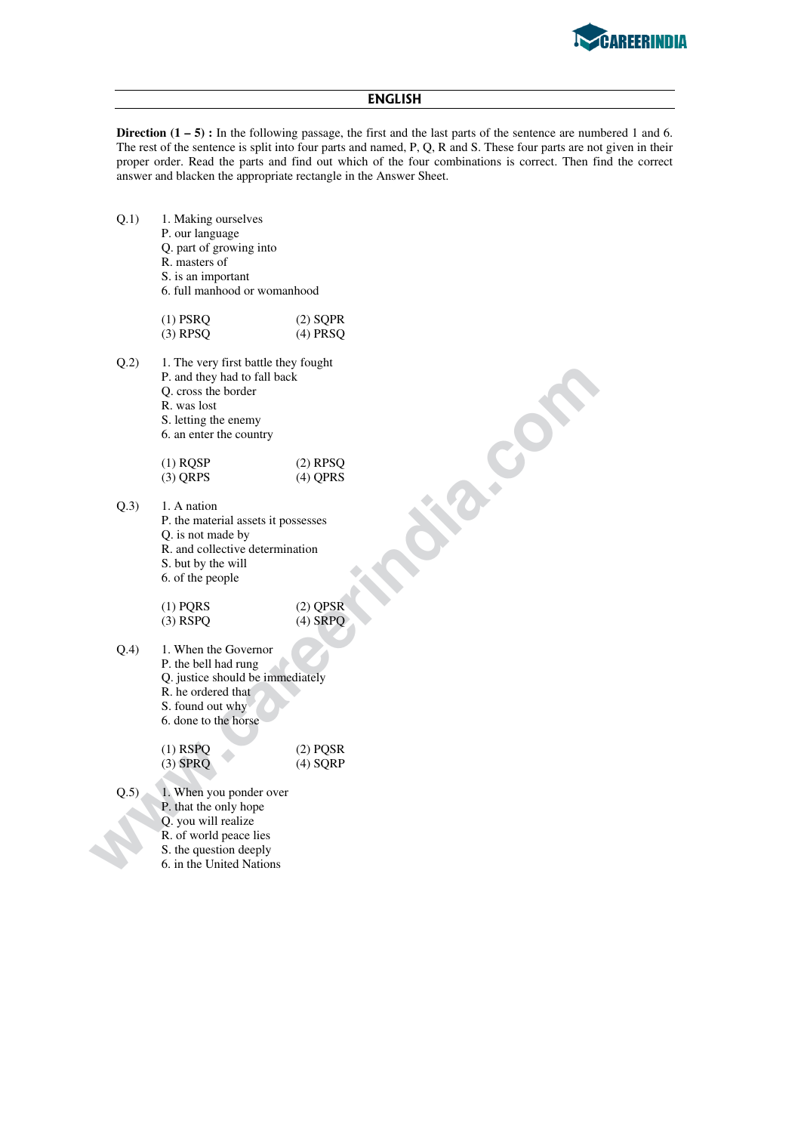

## **ΕΝGLISH**

**Direction**  $(1 - 5)$ **:** In the following passage, the first and the last parts of the sentence are numbered 1 and 6. The rest of the sentence is split into four parts and named, P, Q, R and S. These four parts are not given in their proper order. Read the parts and find out which of the four combinations is correct. Then find the correct answer and blacken the appropriate rectangle in the Answer Sheet.

- Q.1) 1. Making ourselves
	- P. our language
	- Q. part of growing into
	- R. masters of
	- S. is an important
	- 6. full manhood or womanhood

| $(1)$ PSRQ | $(2)$ SQPR |
|------------|------------|
| $(3)$ RPSQ | (4) PRSO   |
|            |            |

- Q.2) 1. The very first battle they fought P. and they had to fall back
	- Q. cross the border
	- R. was lost
	- S. letting the enemy
	- 6. an enter the country

| $(1)$ ROSP | $(2)$ RPSQ |
|------------|------------|
| $(3)$ QRPS | $(4)$ QPRS |

 $Q.3$  1. A nation P. the material assets it possesses Q. is not made by R. and collective determination S. but by the will 6. of the people

> (1) PQRS (2) QPSR<br>
> (3) RSPQ (4) SRPQ  $(3)$  RSPQ

**P** and the plant of all back<br> **P** and the back border<br> **We was lot border**<br> **We see the country**<br> **C**. an energ the country<br> **C**. an energ the country<br> **C** and care many<br> **C** is not material assets it possesses<br> **Q** is no Q.4) 1. When the Governor P. the bell had rung Q. justice should be immediately R. he ordered that S. found out why 6. done to the horse

(1) RSPQ<br>
(3) SPRQ<br>
(4) SQRP  $(4)$  SQRP

Q.5) 1. When you ponder over P. that the only hope Q. you will realize R. of world peace lies S. the question deeply 6. in the United Nations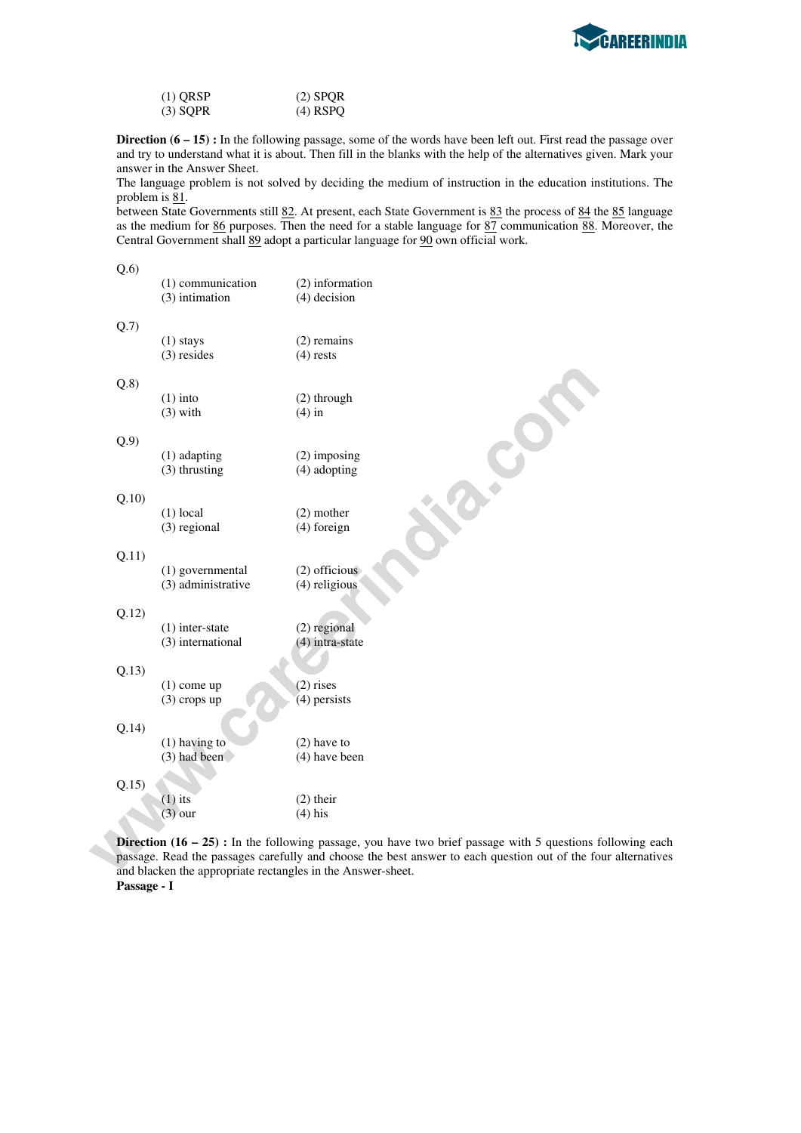

| $(1)$ QRSP | $(2)$ SPQR |
|------------|------------|
| $(3)$ SQPR | $(4)$ RSPQ |

**Direction (6 – 15) :** In the following passage, some of the words have been left out. First read the passage over and try to understand what it is about. Then fill in the blanks with the help of the alternatives given. Mark your answer in the Answer Sheet.

The language problem is not solved by deciding the medium of instruction in the education institutions. The problem is  $81$ .

between State Governments still 82. At present, each State Government is 83 the process of 84 the 85 language as the medium for 86 purposes. Then the need for a stable language for 87 communication 88. Moreover, the Central Government shall 89 adopt a particular language for 90 own official work.

 $O(6)$ 

| ≺.∪   | (1) communication<br>(3) intimation    | (2) information<br>$(4)$ decision   |
|-------|----------------------------------------|-------------------------------------|
| Q.7)  | $(1)$ stays<br>$(3)$ resides           | $(2)$ remains<br>$(4)$ rests        |
| Q.8)  | $(1)$ into<br>$(3)$ with               | (2) through<br>$(4)$ in             |
| Q.9)  | (1) adapting<br>(3) thrusting          | $(2)$ imposing<br>(4) adopting      |
| Q.10  | $(1)$ local<br>(3) regional            | $(2)$ mother<br>(4) foreign         |
| Q.11) | (1) governmental<br>(3) administrative | $(2)$ officious<br>(4) religious    |
| Q.12) | $(1)$ inter-state<br>(3) international | $(2)$ regional<br>$(4)$ intra-state |
| Q.13) | $(1)$ come up<br>$(3)$ crops up        | $(2)$ rises<br>$(4)$ persists       |
| Q.14) | $(1)$ having to<br>$(3)$ had been      | $(2)$ have to<br>$(4)$ have been    |
| Q.15) | $(1)$ its<br>$(3)$ our                 | $(2)$ their<br>$(4)$ his            |

**Direction (16 – 25) :** In the following passage, you have two brief passage with 5 questions following each passage. Read the passages carefully and choose the best answer to each question out of the four alternatives and blacken the appropriate rectangles in the Answer-sheet. **Passage - I**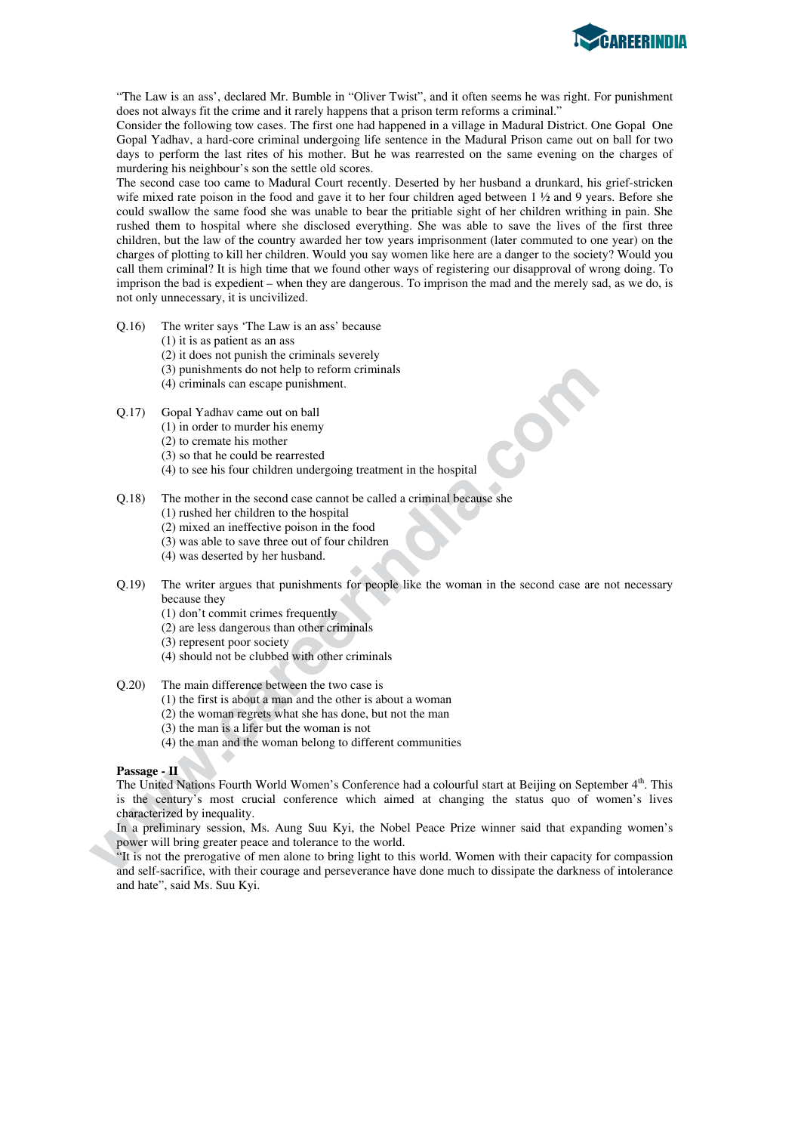

"The Law is an ass', declared Mr. Bumble in "Oliver Twist", and it often seems he was right. For punishment does not always fit the crime and it rarely happens that a prison term reforms a criminal."

Consider the following tow cases. The first one had happened in a village in Madural District. One Gopal One Gopal Yadhav, a hard-core criminal undergoing life sentence in the Madural Prison came out on ball for two days to perform the last rites of his mother. But he was rearrested on the same evening on the charges of murdering his neighbour's son the settle old scores.

The second case too came to Madural Court recently. Deserted by her husband a drunkard, his grief-stricken wife mixed rate poison in the food and gave it to her four children aged between 1  $\frac{1}{2}$  and 9 years. Before she could swallow the same food she was unable to bear the pritiable sight of her children writhing in pain. She rushed them to hospital where she disclosed everything. She was able to save the lives of the first three children, but the law of the country awarded her tow years imprisonment (later commuted to one year) on the charges of plotting to kill her children. Would you say women like here are a danger to the society? Would you call them criminal? It is high time that we found other ways of registering our disapproval of wrong doing. To imprison the bad is expedient – when they are dangerous. To imprison the mad and the merely sad, as we do, is not only unnecessary, it is uncivilized.

- Q.16) The writer says 'The Law is an ass' because
	- (1) it is as patient as an ass
	- (2) it does not punish the criminals severely
	- (3) punishments do not help to reform criminals
	- (4) criminals can escape punishment.
- Q.17) Gopal Yadhav came out on ball
	- (1) in order to murder his enemy
	- (2) to cremate his mother
	- (3) so that he could be rearrested
	- (4) to see his four children undergoing treatment in the hospital

Q.18) The mother in the second case cannot be called a criminal because she

- (1) rushed her children to the hospital
- (2) mixed an ineffective poison in the food
- (3) was able to save three out of four children
- (4) was deserted by her husband.
- Q.19) The writer argues that punishments for people like the woman in the second case are not necessary because they
	- (1) don't commit crimes frequently
	- (2) are less dangerous than other criminals
	- (3) represent poor society
	- (4) should not be clubbed with other criminals

Q.20) The main difference between the two case is

- (1) the first is about a man and the other is about a woman
- (2) the woman regrets what she has done, but not the man
- (3) the man is a lifer but the woman is not
- (4) the man and the woman belong to different communities

## **Passage - II**

(3) punishments do not belp to reform criminals<br>
(4) criminals can excape punishment.<br>
(2) in order to murder his emerger<br>
(2) to cremate his mother<br>
(3) so that he could be rearrested<br>
(4) to see his four children undergr The United Nations Fourth World Women's Conference had a colourful start at Beijing on September 4<sup>th</sup>. This is the century's most crucial conference which aimed at changing the status quo of women's lives characterized by inequality.

In a preliminary session, Ms. Aung Suu Kyi, the Nobel Peace Prize winner said that expanding women's power will bring greater peace and tolerance to the world.

"It is not the prerogative of men alone to bring light to this world. Women with their capacity for compassion and self-sacrifice, with their courage and perseverance have done much to dissipate the darkness of intolerance and hate", said Ms. Suu Kyi.